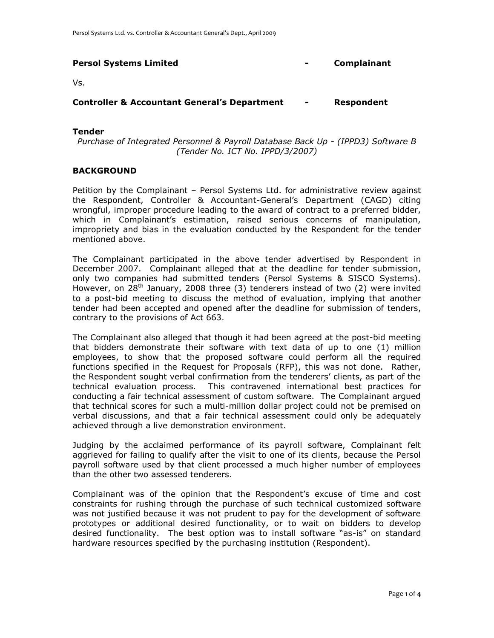| <b>Persol Systems Limited</b>                           | $\overline{\phantom{0}}$ | <b>Complainant</b> |
|---------------------------------------------------------|--------------------------|--------------------|
| Vs.                                                     |                          |                    |
| <b>Controller &amp; Accountant General's Department</b> | $\blacksquare$           | Respondent         |

### **Tender**

*Purchase of Integrated Personnel & Payroll Database Back Up - (IPPD3) Software B (Tender No. ICT No. IPPD/3/2007)*

### **BACKGROUND**

Petition by the Complainant – Persol Systems Ltd. for administrative review against the Respondent, Controller & Accountant-General's Department (CAGD) citing wrongful, improper procedure leading to the award of contract to a preferred bidder, which in Complainant's estimation, raised serious concerns of manipulation, impropriety and bias in the evaluation conducted by the Respondent for the tender mentioned above.

The Complainant participated in the above tender advertised by Respondent in December 2007. Complainant alleged that at the deadline for tender submission, only two companies had submitted tenders (Persol Systems & SISCO Systems). However, on 28<sup>th</sup> January, 2008 three (3) tenderers instead of two (2) were invited to a post-bid meeting to discuss the method of evaluation, implying that another tender had been accepted and opened after the deadline for submission of tenders, contrary to the provisions of Act 663.

The Complainant also alleged that though it had been agreed at the post-bid meeting that bidders demonstrate their software with text data of up to one (1) million employees, to show that the proposed software could perform all the required functions specified in the Request for Proposals (RFP), this was not done. Rather, the Respondent sought verbal confirmation from the tenderers' clients, as part of the technical evaluation process. This contravened international best practices for conducting a fair technical assessment of custom software. The Complainant argued that technical scores for such a multi-million dollar project could not be premised on verbal discussions, and that a fair technical assessment could only be adequately achieved through a live demonstration environment.

Judging by the acclaimed performance of its payroll software, Complainant felt aggrieved for failing to qualify after the visit to one of its clients, because the Persol payroll software used by that client processed a much higher number of employees than the other two assessed tenderers.

Complainant was of the opinion that the Respondent's excuse of time and cost constraints for rushing through the purchase of such technical customized software was not justified because it was not prudent to pay for the development of software prototypes or additional desired functionality, or to wait on bidders to develop desired functionality. The best option was to install software "as-is" on standard hardware resources specified by the purchasing institution (Respondent).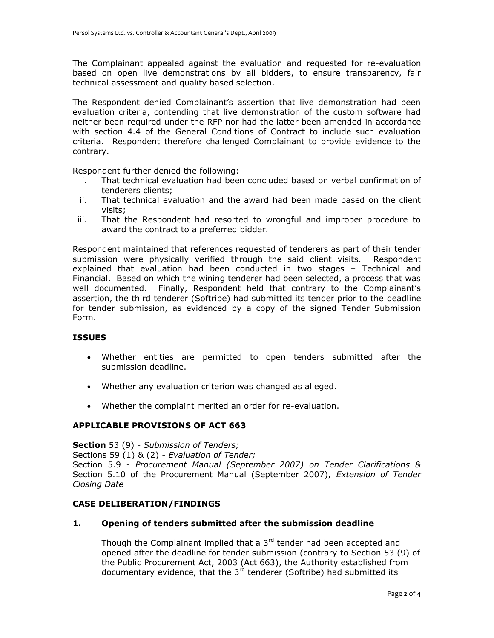The Complainant appealed against the evaluation and requested for re-evaluation based on open live demonstrations by all bidders, to ensure transparency, fair technical assessment and quality based selection.

The Respondent denied Complainant's assertion that live demonstration had been evaluation criteria, contending that live demonstration of the custom software had neither been required under the RFP nor had the latter been amended in accordance with section 4.4 of the General Conditions of Contract to include such evaluation criteria. Respondent therefore challenged Complainant to provide evidence to the contrary.

Respondent further denied the following:-

- i. That technical evaluation had been concluded based on verbal confirmation of tenderers clients;
- ii. That technical evaluation and the award had been made based on the client visits;
- iii. That the Respondent had resorted to wrongful and improper procedure to award the contract to a preferred bidder.

Respondent maintained that references requested of tenderers as part of their tender submission were physically verified through the said client visits. Respondent explained that evaluation had been conducted in two stages – Technical and Financial. Based on which the wining tenderer had been selected, a process that was well documented. Finally, Respondent held that contrary to the Complainant's assertion, the third tenderer (Softribe) had submitted its tender prior to the deadline for tender submission, as evidenced by a copy of the signed Tender Submission Form.

## **ISSUES**

- Whether entities are permitted to open tenders submitted after the submission deadline.
- Whether any evaluation criterion was changed as alleged.
- Whether the complaint merited an order for re-evaluation.

# **APPLICABLE PROVISIONS OF ACT 663**

**Section** 53 (9) - *Submission of Tenders;*  Sections 59 (1) & (2) - *Evaluation of Tender;*  Section 5.9 - *Procurement Manual (September 2007) on Tender Clarifications &*  Section 5.10 of the Procurement Manual (September 2007), *Extension of Tender Closing Date*

#### **CASE DELIBERATION/FINDINGS**

#### **1. Opening of tenders submitted after the submission deadline**

Though the Complainant implied that a  $3<sup>rd</sup>$  tender had been accepted and opened after the deadline for tender submission (contrary to Section 53 (9) of the Public Procurement Act, 2003 (Act 663), the Authority established from documentary evidence, that the  $3<sup>rd</sup>$  tenderer (Softribe) had submitted its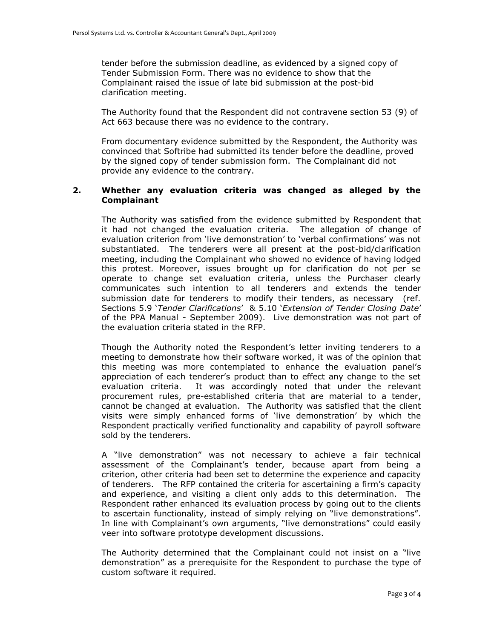tender before the submission deadline, as evidenced by a signed copy of Tender Submission Form. There was no evidence to show that the Complainant raised the issue of late bid submission at the post-bid clarification meeting.

The Authority found that the Respondent did not contravene section 53 (9) of Act 663 because there was no evidence to the contrary.

From documentary evidence submitted by the Respondent, the Authority was convinced that Softribe had submitted its tender before the deadline, proved by the signed copy of tender submission form. The Complainant did not provide any evidence to the contrary.

## **2. Whether any evaluation criteria was changed as alleged by the Complainant**

The Authority was satisfied from the evidence submitted by Respondent that it had not changed the evaluation criteria. The allegation of change of evaluation criterion from 'live demonstration' to 'verbal confirmations' was not substantiated. The tenderers were all present at the post-bid/clarification meeting, including the Complainant who showed no evidence of having lodged this protest. Moreover, issues brought up for clarification do not per se operate to change set evaluation criteria, unless the Purchaser clearly communicates such intention to all tenderers and extends the tender submission date for tenderers to modify their tenders, as necessary (ref. Sections 5.9 '*Tender Clarifications*' & 5.10 '*Extension of Tender Closing Date*' of the PPA Manual - September 2009). Live demonstration was not part of the evaluation criteria stated in the RFP.

Though the Authority noted the Respondent's letter inviting tenderers to a meeting to demonstrate how their software worked, it was of the opinion that this meeting was more contemplated to enhance the evaluation panel's appreciation of each tenderer's product than to effect any change to the set evaluation criteria. It was accordingly noted that under the relevant procurement rules, pre-established criteria that are material to a tender, cannot be changed at evaluation. The Authority was satisfied that the client visits were simply enhanced forms of 'live demonstration' by which the Respondent practically verified functionality and capability of payroll software sold by the tenderers.

A "live demonstration" was not necessary to achieve a fair technical assessment of the Complainant's tender, because apart from being a criterion, other criteria had been set to determine the experience and capacity of tenderers. The RFP contained the criteria for ascertaining a firm's capacity and experience, and visiting a client only adds to this determination. The Respondent rather enhanced its evaluation process by going out to the clients to ascertain functionality, instead of simply relying on "live demonstrations". In line with Complainant's own arguments, "live demonstrations" could easily veer into software prototype development discussions.

The Authority determined that the Complainant could not insist on a "live demonstration" as a prerequisite for the Respondent to purchase the type of custom software it required.